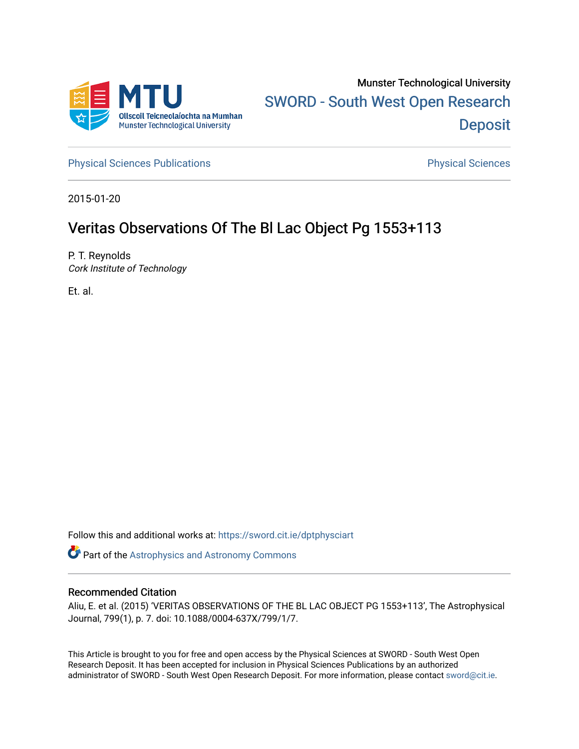

[Physical Sciences Publications](https://sword.cit.ie/dptphysciart) **Physical Sciences** Physical Sciences

2015-01-20

# Veritas Observations Of The Bl Lac Object Pg 1553+113

P. T. Reynolds Cork Institute of Technology

Et. al.

Follow this and additional works at: [https://sword.cit.ie/dptphysciart](https://sword.cit.ie/dptphysciart?utm_source=sword.cit.ie%2Fdptphysciart%2F79&utm_medium=PDF&utm_campaign=PDFCoverPages)

Part of the [Astrophysics and Astronomy Commons](http://network.bepress.com/hgg/discipline/123?utm_source=sword.cit.ie%2Fdptphysciart%2F79&utm_medium=PDF&utm_campaign=PDFCoverPages) 

## Recommended Citation

Aliu, E. et al. (2015) 'VERITAS OBSERVATIONS OF THE BL LAC OBJECT PG 1553+113', The Astrophysical Journal, 799(1), p. 7. doi: 10.1088/0004-637X/799/1/7.

This Article is brought to you for free and open access by the Physical Sciences at SWORD - South West Open Research Deposit. It has been accepted for inclusion in Physical Sciences Publications by an authorized administrator of SWORD - South West Open Research Deposit. For more information, please contact [sword@cit.ie.](mailto:sword@cit.ie)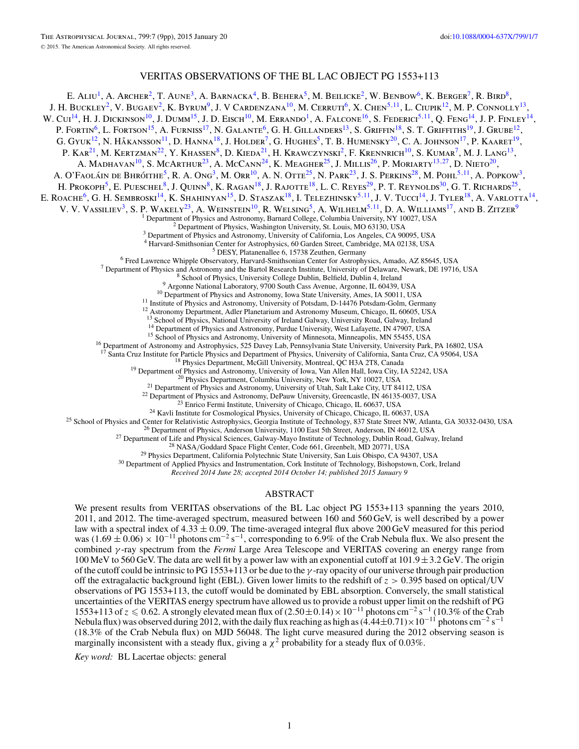## VERITAS OBSERVATIONS OF THE BL LAC OBJECT PG 1553+113

E. ALIU<sup>1</sup>, A. Archer<sup>2</sup>, T. Aune<sup>3</sup>, A. Barnacka<sup>4</sup>, B. Behera<sup>5</sup>, M. Beilicke<sup>2</sup>, W. Benbow<sup>6</sup>, K. Berger<sup>7</sup>, R. Bird<sup>8</sup>, J. H. Buckley<sup>2</sup>, V. Bugaev<sup>2</sup>, K. Byrum<sup>9</sup>, J. V Cardenzana<sup>10</sup>, M. Cerruti<sup>6</sup>, X. Chen<sup>5,11</sup>, L. Ciupik<sup>12</sup>, M. P. Connolly<sup>13</sup> W. Cui<sup>14</sup>, H. J. Dickinson<sup>10</sup>, J. Dumm<sup>15</sup>, J. D. Eisch<sup>10</sup>, M. Errando<sup>1</sup>, A. Falcone<sup>16</sup>, S. Federici<sup>5, 11</sup>, Q. Feng<sup>14</sup>, J. P. Finley<sup>14</sup>, P. FORTIN<sup>6</sup>, L. FORTSON<sup>15</sup>, A. FURNISS<sup>17</sup>, N. GALANTE<sup>6</sup>, G. H. GILLANDERS<sup>13</sup>, S. GRIFFIN<sup>18</sup>, S. T. GRIFFITHS<sup>19</sup>, J. GRUBE<sup>12</sup>, G. GYUK<sup>12</sup>, N. HÅKANSSON<sup>11</sup>, D. HANNA<sup>18</sup>, J. HOLDER<sup>7</sup>, G. HUGHES<sup>5</sup>, T. B. HUMENSKY<sup>20</sup>, C. A. JOHNSON<sup>17</sup>, P. KAARET<sup>19</sup>, P. Kar<sup>21</sup>, M. Kertzman<sup>22</sup>, Y. Khassen<sup>8</sup>, D. Kieda<sup>21</sup>, H. Krawczynski<sup>2</sup>, F. Krennrich<sup>10</sup>, S. Kumar<sup>7</sup>, M. J. Lang<sup>13</sup>, A. Madhavan10, S. McArthur23, A. McCann24, K. Meagher25, J. Millis26, P. Moriarty13*,*27, D. Nieto20, A. O'Faoláin de Bhróithe<sup>5</sup>, R. A. Ong<sup>3</sup>, M. Orr<sup>10</sup>, A. N. Otte<sup>25</sup>, N. Park<sup>23</sup>, J. S. Perkins<sup>28</sup>, M. Pohl<sup>5,11</sup>, A. Popkow<sup>3</sup>, H. Prokoph<sup>5</sup>, E. Pueschel<sup>8</sup>, J. Quinn<sup>8</sup>, K. Ragan<sup>18</sup>, J. Rajotte<sup>18</sup>, L. C. Reyes<sup>29</sup>, P. T. Reynolds<sup>30</sup>, G. T. Richards<sup>25</sup>, E. ROACHE<sup>6</sup>, G. H. SEMBROSKI<sup>14</sup>, K. SHAHINYAN<sup>15</sup>, D. STASZAK<sup>18</sup>, I. TELEZHINSKY<sup>5,11</sup>, J. V. TUCCI<sup>14</sup>, J. TYLER<sup>18</sup>, A. VARLOTTA<sup>14</sup>, V. V. VASSILIEV<sup>3</sup>, S. P. WAKELY<sup>23</sup>, A. WEINSTEIN<sup>10</sup>, R. WELSING<sup>5</sup>, A. WILHELM<sup>5,11</sup>, D. A. WILLIAMS<sup>17</sup>, AND B. ZITZER<sup>9</sup><br><sup>1</sup> Department of Physics and Astronomy, Barnard College, Columbia University, NY 10027, USA <sup>2</sup> Department of Physics, Washington University, St. Louis, MO 63130, USA  $^3$  Department of Physics and Astronomy, University of California, Los Angeles, CA 90095, USA  $^4$  Harvard-Smithsonian Center for Astrophysics, 6 <sup>5</sup> DESY, Platanenallee 6, 15738 Zeuthen, Germany<br><sup>5</sup> DESY, Platanenallee 6, 15738 Zeuthen, Germany<br><sup>7</sup> Department of Physics and Astronomy and the Bartol Research Institute, University of Delaware, Newark, DE 19716, USA<br> <sup>14</sup> Department of Physics and Astronomy, Purdue University, West Lafayette, IN 47907, USA<br><sup>15</sup> School of Physics and Astronomy, University of Minnesota, Minneapolis, MN 55455, USA<br><sup>16</sup> Department of Astronomy and Astroph <sup>17</sup> Santa Cruz Institute for Particle Physics and Department of Physics, University of California, Santa Cruz, CA 95064, USA<br><sup>18</sup> Physics Department, McGill University, Montreal, QC H3A 2TR, Canada<br><sup>19</sup> Department of Phy

*Received 2014 June 28; accepted 2014 October 14; published 2015 January 9*

## ABSTRACT

We present results from VERITAS observations of the BL Lac object PG 1553+113 spanning the years 2010, 2011, and 2012. The time-averaged spectrum, measured between 160 and 560 GeV, is well described by a power law with a spectral index of  $4.33 \pm 0.09$ . The time-averaged integral flux above 200 GeV measured for this period was  $(1.69 \pm 0.06) \times 10^{-11}$  photons cm<sup>-2</sup> s<sup>-1</sup>, corresponding to 6.9% of the Crab Nebula flux. We also present the combined *γ* -ray spectrum from the *Fermi* Large Area Telescope and VERITAS covering an energy range from 100 MeV to 560 GeV. The data are well fit by a power law with an exponential cutoff at 101*.*9±3*.*2 GeV. The origin of the cutoff could be intrinsic to PG 1553+113 or be due to the *γ* -ray opacity of our universe through pair production off the extragalactic background light (EBL). Given lower limits to the redshift of *z >* 0*.*395 based on optical*/*UV observations of PG 1553+113, the cutoff would be dominated by EBL absorption. Conversely, the small statistical uncertainties of the VERITAS energy spectrum have allowed us to provide a robust upper limit on the redshift of PG 1553+113 of *z* ≤ 0.62. A strongly elevated mean flux of  $(2.50 \pm 0.14) \times 10^{-11}$  photons cm<sup>-2</sup> s<sup>-1</sup> (10.3% of the Crab Nebula flux) was observed during 2012, with the daily flux reaching as high as (4*.*44±0*.*71)×10−<sup>11</sup> photons cm−<sup>2</sup> <sup>s</sup>−<sup>1</sup> (18.3% of the Crab Nebula flux) on MJD 56048. The light curve measured during the 2012 observing season is marginally inconsistent with a steady flux, giving a  $\chi^2$  probability for a steady flux of 0.03%.

*Key word:* BL Lacertae objects: general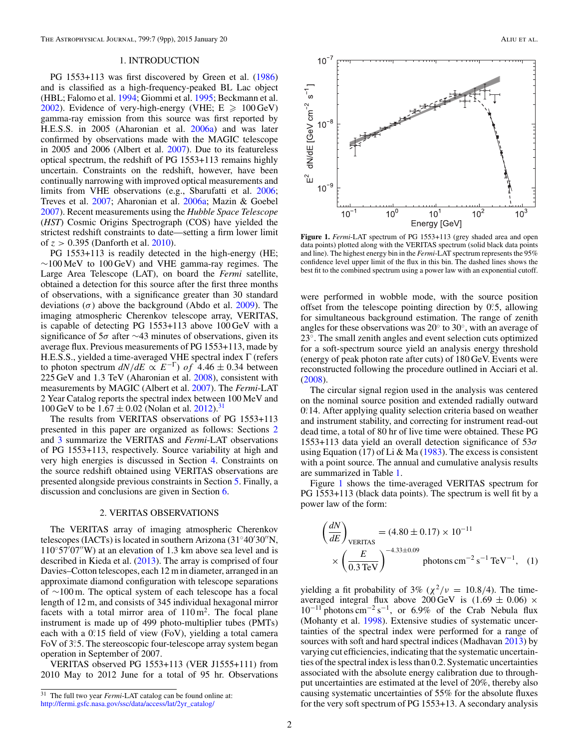#### 1. INTRODUCTION

<span id="page-2-0"></span>PG 1553+113 was first discovered by Green et al. [\(1986\)](#page-8-0) and is classified as a high-frequency-peaked BL Lac object (HBL; Falomo et al. [1994;](#page-8-0) Giommi et al. [1995;](#page-8-0) Beckmann et al. [2002\)](#page-8-0). Evidence of very-high-energy (VHE;  $E \ge 100 \text{ GeV}$ ) gamma-ray emission from this source was first reported by H.E.S.S. in 2005 (Aharonian et al. [2006a\)](#page-8-0) and was later confirmed by observations made with the MAGIC telescope in 2005 and 2006 (Albert et al. [2007\)](#page-8-0). Due to its featureless optical spectrum, the redshift of PG 1553+113 remains highly uncertain. Constraints on the redshift, however, have been continually narrowing with improved optical measurements and limits from VHE observations (e.g., Sbarufatti et al. [2006;](#page-9-0) Treves et al. [2007;](#page-9-0) Aharonian et al. [2006a;](#page-8-0) Mazin & Goebel [2007\)](#page-8-0). Recent measurements using the *Hubble Space Telescope* (*HST*) Cosmic Origins Spectrograph (COS) have yielded the strictest redshift constraints to date—setting a firm lower limit of *z >* 0*.*395 (Danforth et al. [2010\)](#page-8-0).

PG 1553+113 is readily detected in the high-energy (HE;  $~\sim$ 100 MeV to 100 GeV) and VHE gamma-ray regimes. The Large Area Telescope (LAT), on board the *Fermi* satellite, obtained a detection for this source after the first three months of observations, with a significance greater than 30 standard deviations (*σ*) above the background (Abdo et al. [2009\)](#page-8-0). The imaging atmospheric Cherenkov telescope array, VERITAS, is capable of detecting PG 1553+113 above 100 GeV with a significance of 5*σ* after ∼43 minutes of observations, given its average flux. Previous measurements of PG 1553+113, made by H.E.S.S., yielded a time-averaged VHE spectral index Γ (refers to photon spectrum  $dN/dE \propto E^{-\Gamma}$ ) of 4.46 ± 0.34 between 225 GeV and 1*.*3 TeV (Aharonian et al. [2008\)](#page-8-0), consistent with measurements by MAGIC (Albert et al. [2007\)](#page-8-0). The *Fermi*-LAT 2 Year Catalog reports the spectral index between 100 MeV and 100 GeV to be  $1.67 \pm 0.02$  (Nolan et al. [2012\)](#page-9-0).<sup>31</sup>

The results from VERITAS observations of PG 1553+113 presented in this paper are organized as follows: Sections 2 and [3](#page-3-0) summarize the VERITAS and *Fermi*-LAT observations of PG 1553+113, respectively. Source variability at high and very high energies is discussed in Section [4.](#page-3-0) Constraints on the source redshift obtained using VERITAS observations are presented alongside previous constraints in Section [5.](#page-5-0) Finally, a discussion and conclusions are given in Section [6.](#page-8-0)

#### 2. VERITAS OBSERVATIONS

The VERITAS array of imaging atmospheric Cherenkov telescopes (IACTs) is located in southern Arizona (31 $\degree$ 40'30"N, 110◦57 07W) at an elevation of 1*.*3 km above sea level and is described in Kieda et al. [\(2013\)](#page-8-0). The array is comprised of four Davies–Cotton telescopes, each 12 m in diameter, arranged in an approximate diamond configuration with telescope separations of ∼100 m. The optical system of each telescope has a focal length of 12 m, and consists of 345 individual hexagonal mirror facets with a total mirror area of  $110 \text{ m}^2$ . The focal plane instrument is made up of 499 photo-multiplier tubes (PMTs) each with a 0.<sup>2</sup>15 field of view (FoV), yielding a total camera FoV of 3°<sub>2</sub>5. The stereoscopic four-telescope array system began operation in September of 2007.

VERITAS observed PG 1553+113 (VER J1555+111) from 2010 May to 2012 June for a total of 95 hr. Observations



**Figure 1.** *Fermi*-LAT spectrum of PG 1553+113 (grey shaded area and open data points) plotted along with the VERITAS spectrum (solid black data points and line). The highest energy bin in the *Fermi*-LAT spectrum represents the 95% confidence level upper limit of the flux in this bin. The dashed lines shows the best fit to the combined spectrum using a power law with an exponential cutoff.

were performed in wobble mode, with the source position offset from the telescope pointing direction by 0*.* ◦5, allowing for simultaneous background estimation. The range of zenith angles for these observations was 20◦ to 30◦, with an average of 23◦. The small zenith angles and event selection cuts optimized for a soft-spectrum source yield an analysis energy threshold (energy of peak photon rate after cuts) of 180 GeV. Events were reconstructed following the procedure outlined in Acciari et al. [\(2008\)](#page-8-0).

The circular signal region used in the analysis was centered on the nominal source position and extended radially outward 0.14. After applying quality selection criteria based on weather and instrument stability, and correcting for instrument read-out dead time, a total of 80 hr of live time were obtained. These PG 1553+113 data yield an overall detection significance of 53*σ* using Equation (17) of Li & Ma [\(1983\)](#page-8-0). The excess is consistent with a point source. The annual and cumulative analysis results are summarized in Table [1.](#page-3-0)

Figure 1 shows the time-averaged VERITAS spectrum for PG 1553+113 (black data points). The spectrum is well fit by a power law of the form:

$$
\left(\frac{dN}{dE}\right)_{\text{VERITAS}} = (4.80 \pm 0.17) \times 10^{-11}
$$

$$
\times \left(\frac{E}{0.3 \text{ TeV}}\right)^{-4.33 \pm 0.09} \text{photons cm}^{-2} \text{ s}^{-1} \text{ TeV}^{-1}, \quad (1)
$$

yielding a fit probability of 3% ( $\chi^2/\nu = 10.8/4$ ). The timeaveraged integral flux above 200 GeV is  $(1.69 \pm 0.06)$  ×  $10^{-11}$  photons cm<sup>-2</sup> s<sup>-1</sup>, or 6.9% of the Crab Nebula flux (Mohanty et al. [1998\)](#page-9-0). Extensive studies of systematic uncertainties of the spectral index were performed for a range of sources with soft and hard spectral indices (Madhavan [2013\)](#page-8-0) by varying cut efficiencies, indicating that the systematic uncertainties of the spectral index is less than 0.2. Systematic uncertainties associated with the absolute energy calibration due to throughput uncertainties are estimated at the level of 20%, thereby also causing systematic uncertainties of 55% for the absolute fluxes for the very soft spectrum of PG 1553+13. A secondary analysis

<sup>31</sup> The full two year *Fermi*-LAT catalog can be found online at: [http://fermi.gsfc.nasa.gov/ssc/data/access/lat/2yr\\_catalog/](http://fermi.gsfc.nasa.gov/ssc/data/access/lat/2yr_catalog/)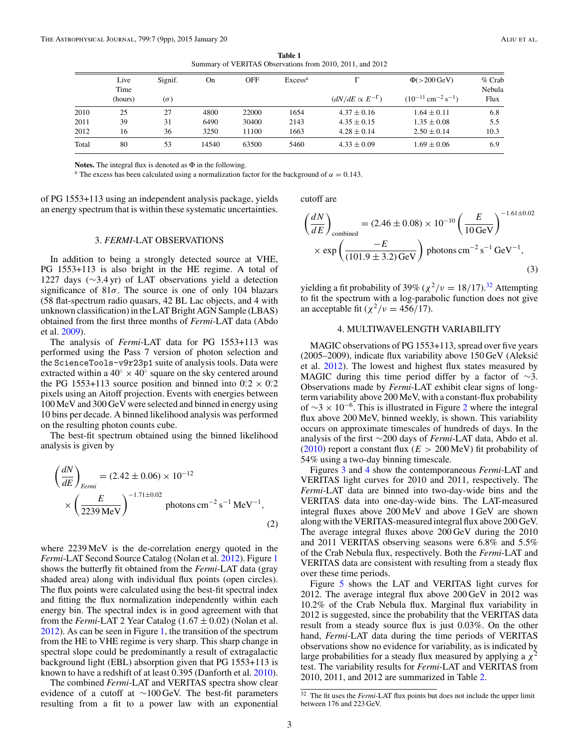**Table 1** Summary of VERITAS Observations from 2010, 2011, and 2012

<span id="page-3-0"></span>

|       | Live<br>Time | Signif.    | On    | <b>OFF</b> | Excess <sup>a</sup> |                          | $\Phi$ (>200 GeV)                              | $%$ Crab<br>Nebula |
|-------|--------------|------------|-------|------------|---------------------|--------------------------|------------------------------------------------|--------------------|
|       | (hours)      | $(\sigma)$ |       |            |                     | $(dN/dE \propto E^{-1})$ | $(10^{-11}$ cm <sup>-2</sup> s <sup>-1</sup> ) | Flux               |
| 2010  | 25           | 27         | 4800  | 22000      | 1654                | $4.37 \pm 0.16$          | $1.64 \pm 0.11$                                | 6.8                |
| 2011  | 39           | 31         | 6490  | 30400      | 2143                | $4.35 \pm 0.15$          | $1.35 \pm 0.08$                                | 5.5                |
| 2012  | 16           | 36         | 3250  | 11100      | 1663                | $4.28 \pm 0.14$          | $2.50 \pm 0.14$                                | 10.3               |
| Total | 80           | 53         | 14540 | 63500      | 5460                | $4.33 \pm 0.09$          | $1.69 \pm 0.06$                                | 6.9                |

**Notes.** The integral flux is denoted as Φ in the following.

<sup>a</sup> The excess has been calculated using a normalization factor for the background of  $\alpha = 0.143$ .

of PG 1553+113 using an independent analysis package, yields an energy spectrum that is within these systematic uncertainties.

#### 3. *FERMI*-LAT OBSERVATIONS

In addition to being a strongly detected source at VHE, PG 1553+113 is also bright in the HE regime. A total of 1227 days (∼3*.*4 yr) of LAT observations yield a detection significance of  $81\sigma$ . The source is one of only 104 blazars (58 flat-spectrum radio quasars, 42 BL Lac objects, and 4 with unknown classification) in the LAT Bright AGN Sample (LBAS) obtained from the first three months of *Fermi*-LAT data (Abdo et al. [2009\)](#page-8-0).

The analysis of *Fermi*-LAT data for PG 1553+113 was performed using the Pass 7 version of photon selection and the ScienceTools-v9r23p1 suite of analysis tools. Data were extracted within a 40 $\degree \times 40\degree$  square on the sky centered around the PG 1553+113 source position and binned into  $0.2 \times 0.2$ pixels using an Aitoff projection. Events with energies between 100 MeV and 300 GeV were selected and binned in energy using 10 bins per decade. A binned likelihood analysis was performed on the resulting photon counts cube.

The best-fit spectrum obtained using the binned likelihood analysis is given by

$$
\left(\frac{dN}{dE}\right)_{Fermi} = (2.42 \pm 0.06) \times 10^{-12}
$$
\n
$$
\times \left(\frac{E}{2239 \text{ MeV}}\right)^{-1.71 \pm 0.02} \text{photons cm}^{-2} \text{ s}^{-1} \text{ MeV}^{-1},\tag{2}
$$

where 2239 MeV is the de-correlation energy quoted in the *Fermi*-LAT Second Source Catalog (Nolan et al. [2012\)](#page-9-0). Figure [1](#page-2-0) shows the butterfly fit obtained from the *Fermi*-LAT data (gray shaded area) along with individual flux points (open circles). The flux points were calculated using the best-fit spectral index and fitting the flux normalization independently within each energy bin. The spectral index is in good agreement with that from the *Fermi*-LAT 2 Year Catalog  $(1.67 \pm 0.02)$  (Nolan et al. [2012\)](#page-9-0). As can be seen in Figure [1,](#page-2-0) the transition of the spectrum from the HE to VHE regime is very sharp. This sharp change in spectral slope could be predominantly a result of extragalactic background light (EBL) absorption given that PG 1553+113 is known to have a redshift of at least 0.395 (Danforth et al. [2010\)](#page-8-0).

The combined *Fermi*-LAT and VERITAS spectra show clear evidence of a cutoff at ∼100 GeV. The best-fit parameters resulting from a fit to a power law with an exponential

cutoff are

$$
\left(\frac{dN}{dE}\right)_{\text{combined}} = (2.46 \pm 0.08) \times 10^{-10} \left(\frac{E}{10 \,\text{GeV}}\right)^{-1.61 \pm 0.02}
$$

$$
\times \exp\left(\frac{-E}{(101.9 \pm 3.2) \,\text{GeV}}\right) \text{ photons cm}^{-2} \,\text{s}^{-1} \,\text{GeV}^{-1},\tag{3}
$$

yielding a fit probability of 39% ( $\chi^2/\nu = 18/17$ ).<sup>32</sup> Attempting to fit the spectrum with a log-parabolic function does not give an acceptable fit ( $\chi^2/\nu = 456/17$ ).

#### 4. MULTIWAVELENGTH VARIABILITY

MAGIC observations of PG 1553+113, spread over five years (2005–2009), indicate flux variability above 150 GeV (Aleksic´ et al. [2012\)](#page-8-0). The lowest and highest flux states measured by MAGIC during this time period differ by a factor of  $\sim$ 3. Observations made by *Fermi*-LAT exhibit clear signs of longterm variability above 200 MeV, with a constant-flux probability of  $\sim$ 3 × 10<sup>-6</sup>. This is illustrated in Figure [2](#page-4-0) where the integral flux above 200 MeV, binned weekly, is shown. This variability occurs on approximate timescales of hundreds of days. In the analysis of the first ∼200 days of *Fermi*-LAT data, Abdo et al. [\(2010\)](#page-8-0) report a constant flux (*E >* 200 MeV) fit probability of 54% using a two-day binning timescale.

Figures [3](#page-4-0) and [4](#page-5-0) show the contemporaneous *Fermi*-LAT and VERITAS light curves for 2010 and 2011, respectively. The *Fermi*-LAT data are binned into two-day-wide bins and the VERITAS data into one-day-wide bins. The LAT-measured integral fluxes above 200 MeV and above 1 GeV are shown along with the VERITAS-measured integral flux above 200 GeV. The average integral fluxes above 200 GeV during the 2010 and 2011 VERITAS observing seasons were 6.8% and 5.5% of the Crab Nebula flux, respectively. Both the *Fermi*-LAT and VERITAS data are consistent with resulting from a steady flux over these time periods.

Figure [5](#page-6-0) shows the LAT and VERITAS light curves for 2012. The average integral flux above 200 GeV in 2012 was 10.2% of the Crab Nebula flux. Marginal flux variability in 2012 is suggested, since the probability that the VERITAS data result from a steady source flux is just 0.03%. On the other hand, *Fermi*-LAT data during the time periods of VERITAS observations show no evidence for variability, as is indicated by large probabilities for a steady flux measured by applying a  $\chi^2$ test. The variability results for *Fermi*-LAT and VERITAS from 2010, 2011, and 2012 are summarized in Table [2.](#page-4-0)

<sup>32</sup> The fit uses the *Fermi*-LAT flux points but does not include the upper limit between 176 and 223 GeV.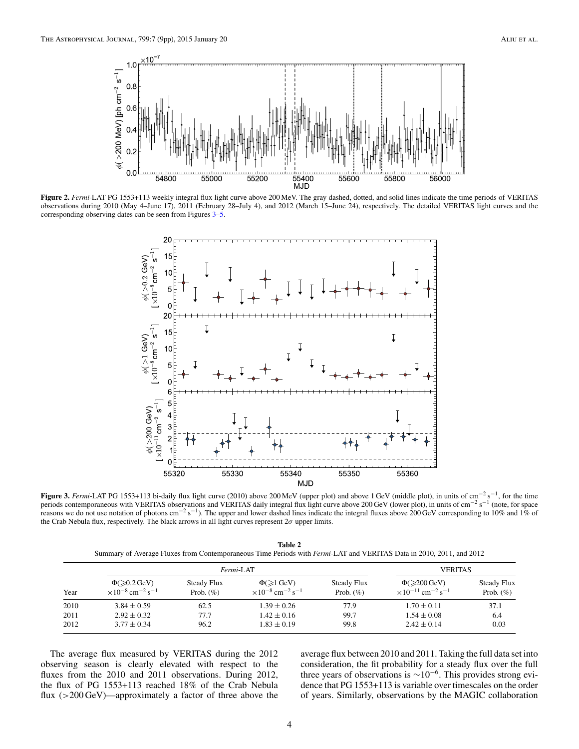<span id="page-4-0"></span>

**Figure 2.** *Fermi*-LAT PG 1553+113 weekly integral flux light curve above 200 MeV. The gray dashed, dotted, and solid lines indicate the time periods of VERITAS observations during 2010 (May 4–June 17), 2011 (February 28–July 4), and 2012 (March 15–June 24), respectively. The detailed VERITAS light curves and the corresponding observing dates can be seen from Figures 3[–5.](#page-6-0)



**Figure 3.** *Fermi*-LAT PG 1553+113 bi-daily flux light curve (2010) above 200 MeV (upper plot) and above 1 GeV (middle plot), in units of cm−<sup>2</sup> s−1, for the time periods contemporaneous with VERITAS observations and VERITAS daily integral flux light curve above 200 GeV (lower plot), in units of cm<sup>-2</sup> s<sup>-1</sup> (note, for space reasons we do not use notation of photons cm<sup>-2</sup> s<sup>-1</sup>). The upper and lower dashed lines indicate the integral fluxes above 200 GeV corresponding to 10% and 1% of the Crab Nebula flux, respectively. The black arrows in all light curves represent 2*σ* upper limits.

**Table 2** Summary of Average Fluxes from Contemporaneous Time Periods with *Fermi*-LAT and VERITAS Data in 2010, 2011, and 2012

| Year |                                                                                           | Fermi-LAT                           | <b>VERITAS</b>                                                                  |                              |                                                                                   |                                    |
|------|-------------------------------------------------------------------------------------------|-------------------------------------|---------------------------------------------------------------------------------|------------------------------|-----------------------------------------------------------------------------------|------------------------------------|
|      | $\Phi(\geqslant 0.2 \,\mathrm{GeV})$<br>$\times 10^{-8}$ cm <sup>-2</sup> s <sup>-1</sup> | <b>Steady Flux</b><br>Prob. $(\% )$ | $\Phi(\geq 1 \text{ GeV})$<br>$\times 10^{-8}$ cm <sup>-2</sup> s <sup>-1</sup> | Steady Flux<br>Prob. $(\% )$ | $\Phi \geq 200 \text{ GeV}$<br>$\times 10^{-11}$ cm <sup>-2</sup> s <sup>-1</sup> | <b>Steady Flux</b><br>Prob. $(\%)$ |
| 2010 | $3.84 \pm 0.59$                                                                           | 62.5                                | $1.39 \pm 0.26$                                                                 | 77.9                         | $1.70 \pm 0.11$                                                                   | 37.1                               |
| 2011 | $2.92 \pm 0.32$                                                                           | 77.7                                | $1.42 \pm 0.16$                                                                 | 99.7                         | $1.54 \pm 0.08$                                                                   | 6.4                                |
| 2012 | $3.77 \pm 0.34$                                                                           | 96.2                                | $1.83 \pm 0.19$                                                                 | 99.8                         | $2.42 \pm 0.14$                                                                   | 0.03                               |

The average flux measured by VERITAS during the 2012 observing season is clearly elevated with respect to the fluxes from the 2010 and 2011 observations. During 2012, the flux of PG 1553+113 reached 18% of the Crab Nebula flux (*>*200 GeV)—approximately a factor of three above the average flux between 2010 and 2011. Taking the full data set into consideration, the fit probability for a steady flux over the full three years of observations is  $\sim 10^{-6}$ . This provides strong evidence that PG 1553+113 is variable over timescales on the order of years. Similarly, observations by the MAGIC collaboration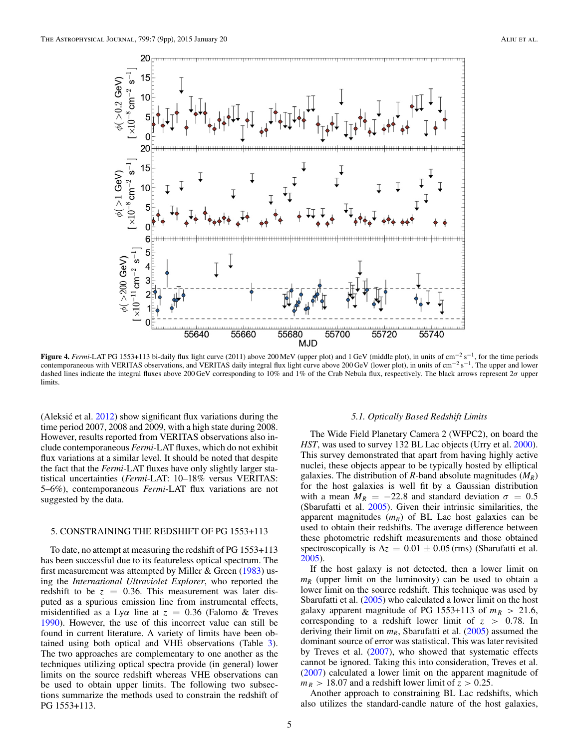<span id="page-5-0"></span>

**Figure 4.** *Fermi*-LAT PG 1553+113 bi-daily flux light curve (2011) above 200 MeV (upper plot) and 1 GeV (middle plot), in units of cm−<sup>2</sup> s−1, for the time periods contemporaneous with VERITAS observations, and VERITAS daily integral flux light curve above 200 GeV (lower plot), in units of cm−<sup>2</sup> s−1. The upper and lower dashed lines indicate the integral fluxes above 200 GeV corresponding to 10% and 1% of the Crab Nebula flux, respectively. The black arrows represent 2*σ* upper limits.

(Aleksić et al.  $2012$ ) show significant flux variations during the time period 2007, 2008 and 2009, with a high state during 2008. However, results reported from VERITAS observations also include contemporaneous *Fermi*-LAT fluxes, which do not exhibit flux variations at a similar level. It should be noted that despite the fact that the *Fermi*-LAT fluxes have only slightly larger statistical uncertainties (*Fermi*-LAT: 10–18% versus VERITAS: 5–6%), contemporaneous *Fermi*-LAT flux variations are not suggested by the data.

#### 5. CONSTRAINING THE REDSHIFT OF PG 1553+113

To date, no attempt at measuring the redshift of PG 1553+113 has been successful due to its featureless optical spectrum. The first measurement was attempted by Miller & Green  $(1983)$  using the *International Ultraviolet Explorer*, who reported the redshift to be  $z = 0.36$ . This measurement was later disputed as a spurious emission line from instrumental effects, misidentified as a Ly*α* line at *z* = 0*.*36 (Falomo & Treves [1990\)](#page-8-0). However, the use of this incorrect value can still be found in current literature. A variety of limits have been obtained using both optical and VHE observations (Table [3\)](#page-6-0). The two approaches are complementary to one another as the techniques utilizing optical spectra provide (in general) lower limits on the source redshift whereas VHE observations can be used to obtain upper limits. The following two subsections summarize the methods used to constrain the redshift of PG 1553+113.

#### *5.1. Optically Based Redshift Limits*

The Wide Field Planetary Camera 2 (WFPC2), on board the *HST*, was used to survey 132 BL Lac objects (Urry et al. [2000\)](#page-9-0). This survey demonstrated that apart from having highly active nuclei, these objects appear to be typically hosted by elliptical galaxies. The distribution of *R*-band absolute magnitudes (*MR*) for the host galaxies is well fit by a Gaussian distribution with a mean  $M_R = -22.8$  and standard deviation  $\sigma = 0.5$ (Sbarufatti et al. [2005\)](#page-9-0). Given their intrinsic similarities, the apparent magnitudes  $(m_R)$  of BL Lac host galaxies can be used to obtain their redshifts. The average difference between these photometric redshift measurements and those obtained spectroscopically is  $\Delta z = 0.01 \pm 0.05$  (rms) (Sbarufatti et al. [2005\)](#page-9-0).

If the host galaxy is not detected, then a lower limit on  $m_R$  (upper limit on the luminosity) can be used to obtain a lower limit on the source redshift. This technique was used by Sbarufatti et al. [\(2005\)](#page-9-0) who calculated a lower limit on the host galaxy apparent magnitude of PG 1553+113 of  $m_R > 21.6$ , corresponding to a redshift lower limit of *z >* 0*.*78. In deriving their limit on  $m_R$ , Sbarufatti et al. [\(2005\)](#page-9-0) assumed the dominant source of error was statistical. This was later revisited by Treves et al. [\(2007\)](#page-9-0), who showed that systematic effects cannot be ignored. Taking this into consideration, Treves et al. [\(2007\)](#page-9-0) calculated a lower limit on the apparent magnitude of  $m_R$  > 18*.07* and a redshift lower limit of  $z$  > 0.25.

Another approach to constraining BL Lac redshifts, which also utilizes the standard-candle nature of the host galaxies,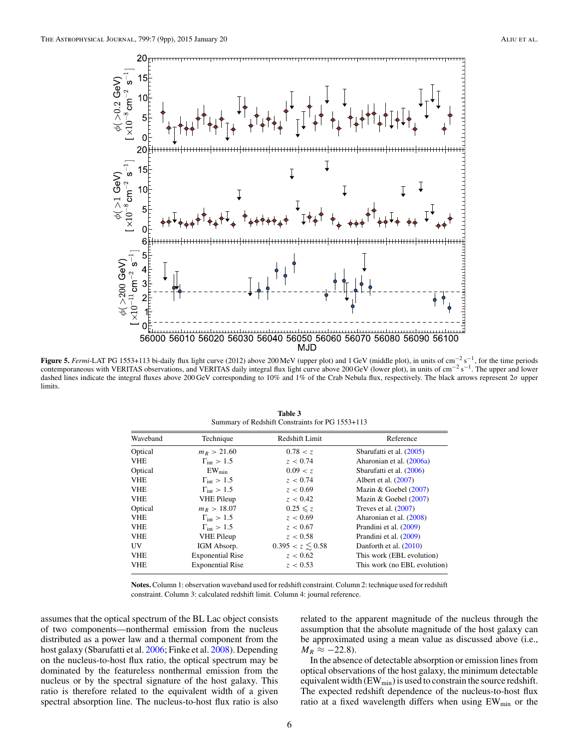<span id="page-6-0"></span>

**Figure 5.** *Fermi*-LAT PG 1553+113 bi-daily flux light curve (2012) above 200 MeV (upper plot) and 1 GeV (middle plot), in units of cm−<sup>2</sup> s−1, for the time periods contemporaneous with VERITAS observations, and VERITAS daily integral flux light curve above 200 GeV (lower plot), in units of cm<sup>-2</sup> s<sup>-1</sup>. The upper and lower dashed lines indicate the integral fluxes above 200 GeV corresponding to 10% and 1% of the Crab Nebula flux, respectively. The black arrows represent 2*σ* upper limits.

| Summary of Redshift Constraints for PG 1553+113 |                          |                       |                              |  |  |
|-------------------------------------------------|--------------------------|-----------------------|------------------------------|--|--|
| Waveband                                        | Technique                | Redshift Limit        | Reference                    |  |  |
| Optical                                         | $m_R > 21.60$            | 0.78 < z              | Sbarufatti et al. (2005)     |  |  |
| <b>VHE</b>                                      | $\Gamma_{\rm int} > 1.5$ | z < 0.74              | Aharonian et al. (2006a)     |  |  |
| Optical                                         | $EW_{min}$               | 0.09 < z              | Sbarufatti et al. (2006)     |  |  |
| <b>VHE</b>                                      | $\Gamma_{\rm int} > 1.5$ | z < 0.74              | Albert et al. (2007)         |  |  |
| <b>VHE</b>                                      | $\Gamma_{\rm int} > 1.5$ | z < 0.69              | Mazin & Goebel $(2007)$      |  |  |
| <b>VHE</b>                                      | <b>VHE Pileup</b>        | z < 0.42              | Mazin & Goebel $(2007)$      |  |  |
| Optical                                         | $m_R > 18.07$            | $0.25 \leq z$         | Treves et al. $(2007)$       |  |  |
| <b>VHE</b>                                      | $\Gamma_{\rm int} > 1.5$ | z < 0.69              | Aharonian et al. (2008)      |  |  |
| <b>VHE</b>                                      | $\Gamma_{\rm int} > 1.5$ | z < 0.67              | Prandini et al. (2009)       |  |  |
| <b>VHE</b>                                      | <b>VHE Pileup</b>        | z < 0.58              | Prandini et al. (2009)       |  |  |
| <b>UV</b>                                       | IGM Absorp.              | $0.395 < z \leq 0.58$ | Danforth et al. (2010)       |  |  |
| <b>VHE</b>                                      | <b>Exponential Rise</b>  | z < 0.62              | This work (EBL evolution)    |  |  |
| <b>VHE</b>                                      | <b>Exponential Rise</b>  | z < 0.53              | This work (no EBL evolution) |  |  |

**Table 3**

**Notes.** Column 1: observation waveband used for redshift constraint. Column 2: technique used for redshift constraint. Column 3: calculated redshift limit. Column 4: journal reference.

assumes that the optical spectrum of the BL Lac object consists of two components—nonthermal emission from the nucleus distributed as a power law and a thermal component from the host galaxy (Sbarufatti et al. [2006;](#page-9-0) Finke et al. [2008\)](#page-8-0). Depending on the nucleus-to-host flux ratio, the optical spectrum may be dominated by the featureless nonthermal emission from the nucleus or by the spectral signature of the host galaxy. This ratio is therefore related to the equivalent width of a given spectral absorption line. The nucleus-to-host flux ratio is also

related to the apparent magnitude of the nucleus through the assumption that the absolute magnitude of the host galaxy can be approximated using a mean value as discussed above (i.e.,  $M_R \approx -22.8$ ).

In the absence of detectable absorption or emission lines from optical observations of the host galaxy, the minimum detectable equivalent width  $(EW_{min})$  is used to constrain the source redshift. The expected redshift dependence of the nucleus-to-host flux ratio at a fixed wavelength differs when using EW<sub>min</sub> or the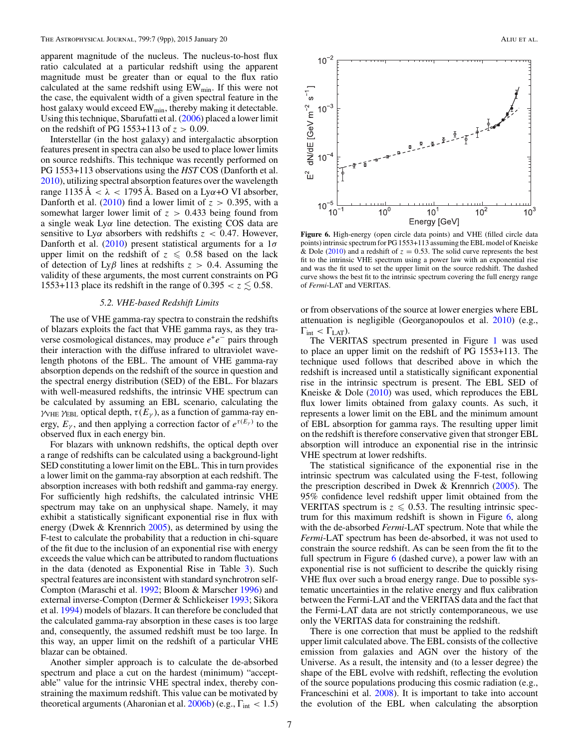apparent magnitude of the nucleus. The nucleus-to-host flux ratio calculated at a particular redshift using the apparent magnitude must be greater than or equal to the flux ratio calculated at the same redshift using  $EW_{min}$ . If this were not the case, the equivalent width of a given spectral feature in the host galaxy would exceed EW<sub>min</sub>, thereby making it detectable. Using this technique, Sbarufatti et al. [\(2006\)](#page-9-0) placed a lower limit on the redshift of PG 1553+113 of *z >* 0*.*09.

Interstellar (in the host galaxy) and intergalactic absorption features present in spectra can also be used to place lower limits on source redshifts. This technique was recently performed on PG 1553+113 observations using the *HST* COS (Danforth et al. [2010\)](#page-8-0), utilizing spectral absorption features over the wavelength range  $1135 \text{ Å} < \lambda < 1795 \text{ Å}$ . Based on a Ly $\alpha$ +O VI absorber, Danforth et al.  $(2010)$  find a lower limit of  $z > 0.395$ , with a somewhat larger lower limit of *z >* 0*.*433 being found from a single weak Ly*α* line detection. The existing COS data are sensitive to Ly*α* absorbers with redshifts *z <* 0*.*47. However, Danforth et al. [\(2010\)](#page-8-0) present statistical arguments for a 1*σ* upper limit on the redshift of  $z \le 0.58$  based on the lack of detection of Ly*β* lines at redshifts *z >* 0*.*4. Assuming the validity of these arguments, the most current constraints on PG 1553+113 place its redshift in the range of  $0.395 < z \leq 0.58$ .

### *5.2. VHE-based Redshift Limits*

The use of VHE gamma-ray spectra to constrain the redshifts of blazars exploits the fact that VHE gamma rays, as they traverse cosmological distances, may produce  $e^+e^-$  pairs through their interaction with the diffuse infrared to ultraviolet wavelength photons of the EBL. The amount of VHE gamma-ray absorption depends on the redshift of the source in question and the spectral energy distribution (SED) of the EBL. For blazars with well-measured redshifts, the intrinsic VHE spectrum can be calculated by assuming an EBL scenario, calculating the *γ* $V$ <sup>H</sup>EBL optical depth,  $\tau(E_\gamma)$ , as a function of gamma-ray energy,  $E_\gamma$ , and then applying a correction factor of  $e^{\tau(E_\gamma)}$  to the observed flux in each energy bin.

For blazars with unknown redshifts, the optical depth over a range of redshifts can be calculated using a background-light SED constituting a lower limit on the EBL. This in turn provides a lower limit on the gamma-ray absorption at each redshift. The absorption increases with both redshift and gamma-ray energy. For sufficiently high redshifts, the calculated intrinsic VHE spectrum may take on an unphysical shape. Namely, it may exhibit a statistically significant exponential rise in flux with energy (Dwek & Krennrich [2005\)](#page-8-0), as determined by using the F-test to calculate the probability that a reduction in chi-square of the fit due to the inclusion of an exponential rise with energy exceeds the value which can be attributed to random fluctuations in the data (denoted as Exponential Rise in Table [3\)](#page-6-0). Such spectral features are inconsistent with standard synchrotron self-Compton (Maraschi et al. [1992;](#page-8-0) Bloom & Marscher [1996\)](#page-8-0) and external inverse-Compton (Dermer & Schlickeiser [1993;](#page-8-0) Sikora et al. [1994\)](#page-9-0) models of blazars. It can therefore be concluded that the calculated gamma-ray absorption in these cases is too large and, consequently, the assumed redshift must be too large. In this way, an upper limit on the redshift of a particular VHE blazar can be obtained.

Another simpler approach is to calculate the de-absorbed spectrum and place a cut on the hardest (minimum) "acceptable" value for the intrinsic VHE spectral index, thereby constraining the maximum redshift. This value can be motivated by theoretical arguments (Aharonian et al. [2006b\)](#page-8-0) (e.g., Γint *<* 1*.*5)



**Figure 6.** High-energy (open circle data points) and VHE (filled circle data points) intrinsic spectrum for PG 1553+113 assuming the EBL model of Kneiske & Dole [\(2010\)](#page-8-0) and a redshift of  $z = 0.53$ . The solid curve represents the best fit to the intrinsic VHE spectrum using a power law with an exponential rise and was the fit used to set the upper limit on the source redshift. The dashed curve shows the best fit to the intrinsic spectrum covering the full energy range of *Fermi*-LAT and VERITAS.

or from observations of the source at lower energies where EBL attenuation is negligible (Georganopoulos et al. [2010\)](#page-8-0) (e.g.,  $\Gamma_{\text{int}} < \Gamma_{\text{LAT}}$ ).

The VERITAS spectrum presented in Figure [1](#page-2-0) was used to place an upper limit on the redshift of PG 1553+113. The technique used follows that described above in which the redshift is increased until a statistically significant exponential rise in the intrinsic spectrum is present. The EBL SED of Kneiske  $\&$  Dole [\(2010\)](#page-8-0) was used, which reproduces the EBL flux lower limits obtained from galaxy counts. As such, it represents a lower limit on the EBL and the minimum amount of EBL absorption for gamma rays. The resulting upper limit on the redshift is therefore conservative given that stronger EBL absorption will introduce an exponential rise in the intrinsic VHE spectrum at lower redshifts.

The statistical significance of the exponential rise in the intrinsic spectrum was calculated using the F-test, following the prescription described in Dwek & Krennrich [\(2005\)](#page-8-0). The 95% confidence level redshift upper limit obtained from the VERITAS spectrum is  $z \le 0.53$ . The resulting intrinsic spectrum for this maximum redshift is shown in Figure  $6$ , along with the de-absorbed *Fermi*-LAT spectrum. Note that while the *Fermi*-LAT spectrum has been de-absorbed, it was not used to constrain the source redshift. As can be seen from the fit to the full spectrum in Figure 6 (dashed curve), a power law with an exponential rise is not sufficient to describe the quickly rising VHE flux over such a broad energy range. Due to possible systematic uncertainties in the relative energy and flux calibration between the Fermi-LAT and the VERITAS data and the fact that the Fermi-LAT data are not strictly contemporaneous, we use only the VERITAS data for constraining the redshift.

There is one correction that must be applied to the redshift upper limit calculated above. The EBL consists of the collective emission from galaxies and AGN over the history of the Universe. As a result, the intensity and (to a lesser degree) the shape of the EBL evolve with redshift, reflecting the evolution of the source populations producing this cosmic radiation (e.g., Franceschini et al. [2008\)](#page-8-0). It is important to take into account the evolution of the EBL when calculating the absorption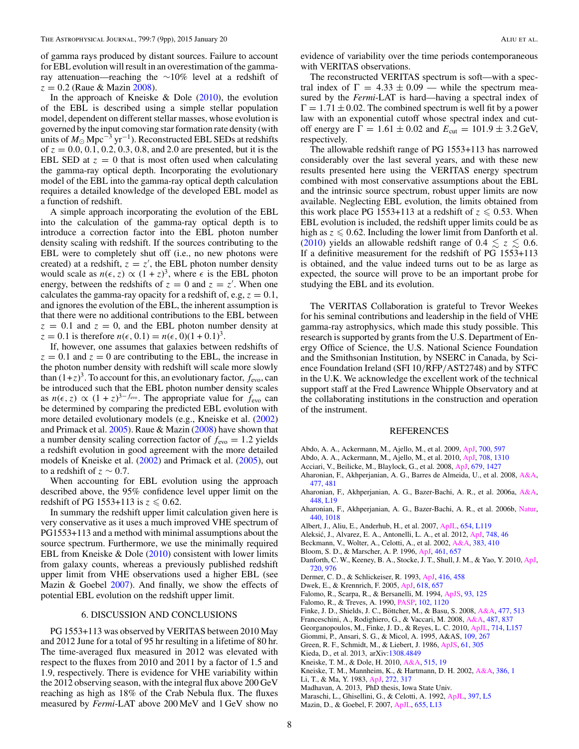<span id="page-8-0"></span>of gamma rays produced by distant sources. Failure to account for EBL evolution will result in an overestimation of the gammaray attenuation—reaching the ∼10% level at a redshift of *z* = 0*.*2 (Raue & Mazin [2008\)](#page-9-0).

In the approach of Kneiske  $&$  Dole (2010), the evolution of the EBL is described using a simple stellar population model, dependent on different stellar masses, whose evolution is governed by the input comoving star formation rate density (with units of  $M_{\odot}$  Mpc<sup>-3</sup> yr<sup>-1</sup>). Reconstructed EBL SEDs at redshifts of *z* = 0*.*0*,* 0*.*1*,* 0*.*2*,* 0*.*3*,* 0*.*8*,* and 2*.*0 are presented, but it is the EBL SED at  $z = 0$  that is most often used when calculating the gamma-ray optical depth. Incorporating the evolutionary model of the EBL into the gamma-ray optical depth calculation requires a detailed knowledge of the developed EBL model as a function of redshift.

A simple approach incorporating the evolution of the EBL into the calculation of the gamma-ray optical depth is to introduce a correction factor into the EBL photon number density scaling with redshift. If the sources contributing to the EBL were to completely shut off (i.e., no new photons were created) at a redshift,  $z = z'$ , the EBL photon number density would scale as  $n(\epsilon, z) \propto (1 + z)^3$ , where  $\epsilon$  is the EBL photon energy, between the redshifts of  $z = 0$  and  $z = z'$ . When one calculates the gamma-ray opacity for a redshift of, e.g,  $z = 0.1$ , and ignores the evolution of the EBL, the inherent assumption is that there were no additional contributions to the EBL between  $z = 0.1$  and  $z = 0$ , and the EBL photon number density at  $z = 0.1$  is therefore  $n(\epsilon, 0.1) = n(\epsilon, 0)(1 + 0.1)^3$ .

If, however, one assumes that galaxies between redshifts of  $z = 0.1$  and  $z = 0$  are contributing to the EBL, the increase in the photon number density with redshift will scale more slowly than  $(1+z)^3$ . To account for this, an evolutionary factor,  $f_{\text{evo}}$ , can be introduced such that the EBL photon number density scales as  $n(\epsilon, z) \propto (1 + z)^{3 - f_{\text{evo}}}$ . The appropriate value for  $f_{\text{evo}}$  can be determined by comparing the predicted EBL evolution with more detailed evolutionary models (e.g., Kneiske et al. (2002) and Primack et al. [2005\)](#page-9-0). Raue & Mazin [\(2008\)](#page-9-0) have shown that a number density scaling correction factor of  $f_{\text{evo}} = 1.2$  yields a redshift evolution in good agreement with the more detailed models of Kneiske et al. (2002) and Primack et al. [\(2005\)](#page-9-0), out to a redshift of  $z \sim 0.7$ .

When accounting for EBL evolution using the approach described above, the 95% confidence level upper limit on the redshift of PG  $1553+113$  is  $z \le 0.62$ .

In summary the redshift upper limit calculation given here is very conservative as it uses a much improved VHE spectrum of PG1553+113 and a method with minimal assumptions about the source spectrum. Furthermore, we use the minimally required EBL from Kneiske  $& Dole (2010)$  consistent with lower limits from galaxy counts, whereas a previously published redshift upper limit from VHE observations used a higher EBL (see Mazin & Goebel 2007). And finally, we show the effects of potential EBL evolution on the redshift upper limit.

#### 6. DISCUSSION AND CONCLUSIONS

PG 1553+113 was observed by VERITAS between 2010 May and 2012 June for a total of 95 hr resulting in a lifetime of 80 hr. The time-averaged flux measured in 2012 was elevated with respect to the fluxes from 2010 and 2011 by a factor of 1.5 and 1.9, respectively. There is evidence for VHE variability within the 2012 observing season, with the integral flux above 200 GeV reaching as high as 18% of the Crab Nebula flux. The fluxes measured by *Fermi*-LAT above 200 MeV and 1 GeV show no

evidence of variability over the time periods contemporaneous with VERITAS observations.

The reconstructed VERITAS spectrum is soft—with a spectral index of  $\Gamma = 4.33 \pm 0.09$  — while the spectrum measured by the *Fermi*-LAT is hard—having a spectral index of  $\Gamma = 1.71 \pm 0.02$ . The combined spectrum is well fit by a power law with an exponential cutoff whose spectral index and cutoff energy are  $\Gamma = 1.61 \pm 0.02$  and  $E_{\text{cut}} = 101.9 \pm 3.2$  GeV, respectively.

The allowable redshift range of PG 1553+113 has narrowed considerably over the last several years, and with these new results presented here using the VERITAS energy spectrum combined with most conservative assumptions about the EBL and the intrinsic source spectrum, robust upper limits are now available. Neglecting EBL evolution, the limits obtained from this work place PG 1553+113 at a redshift of  $z \le 0.53$ . When EBL evolution is included, the redshift upper limits could be as high as  $z \leqslant 0.62$ . Including the lower limit from Danforth et al. (2010) yields an allowable redshift range of 0.4  $\le z \le 0.6$ . If a definitive measurement for the redshift of PG 1553+113 is obtained, and the value indeed turns out to be as large as expected, the source will prove to be an important probe for studying the EBL and its evolution.

The VERITAS Collaboration is grateful to Trevor Weekes for his seminal contributions and leadership in the field of VHE gamma-ray astrophysics, which made this study possible. This research is supported by grants from the U.S. Department of Energy Office of Science, the U.S. National Science Foundation and the Smithsonian Institution, by NSERC in Canada, by Science Foundation Ireland (SFI 10*/*RFP*/*AST2748) and by STFC in the U.K. We acknowledge the excellent work of the technical support staff at the Fred Lawrence Whipple Observatory and at the collaborating institutions in the construction and operation of the instrument.

#### REFERENCES

- Abdo, A. A., Ackermann, M., Ajello, M., et al. 2009, [ApJ,](http://dx.doi.org/10.1088/0004-637X/700/1/597) [700, 597](http://adsabs.harvard.edu/abs/2009ApJ...700..597A)
- Abdo, A. A., Ackermann, M., Ajello, M., et al. 2010, [ApJ,](http://dx.doi.org/10.1088/0004-637X/708/2/1310) [708, 1310](http://adsabs.harvard.edu/abs/2010ApJ...708.1310A)
- Acciari, V., Beilicke, M., Blaylock, G., et al. 2008, [ApJ,](http://dx.doi.org/10.1086/587736) [679, 1427](http://adsabs.harvard.edu/abs/2008ApJ...679.1427A)
- Aharonian, F., Akhperjanian, A. G., Barres de Almeida, U., et al. 2008, [A&A,](http://dx.doi.org/10.1051/0004-6361:20078603) [477, 481](http://adsabs.harvard.edu/abs/2008A&A...477..481A)
- Aharonian, F., Akhperjanian, A. G., Bazer-Bachi, A. R., et al. 2006a, [A&A,](http://dx.doi.org/10.1051/0004-6361:200600010) [448, L19](http://adsabs.harvard.edu/abs/2006A&A...448L..19A)
- Aharonian, F., Akhperjanian, A. G., Bazer-Bachi, A. R., et al. 2006b, [Natur,](http://dx.doi.org/10.1038/nature04680) [440, 1018](http://adsabs.harvard.edu/abs/2006Natur.440.1018A)
- Albert, J., Aliu, E., Anderhub, H., et al. 2007, [ApJL,](http://dx.doi.org/10.1086/511384) [654, L119](http://adsabs.harvard.edu/abs/2007ApJ...654L.119A)
- Aleksić, J., Alvarez, E. A., Antonelli, L. A., et al. 2012, *[ApJ,](http://dx.doi.org/10.1088/0004-637X/748/1/46) [748, 46](http://adsabs.harvard.edu/abs/2012ApJ...748...46A)*
- Beckmann, V., Wolter, A., Celotti, A., et al. 2002, [A&A,](http://dx.doi.org/10.1051/0004-6361:20011752) [383, 410](http://adsabs.harvard.edu/abs/2002A&A...383..410B)
- Bloom, S. D., & Marscher, A. P. 1996, [ApJ,](http://dx.doi.org/10.1086/177092) [461, 657](http://adsabs.harvard.edu/abs/1996ApJ...461..657B)
- Danforth, C. W., Keeney, B. A., Stocke, J. T., Shull, J. M., & Yao, Y. 2010, [ApJ,](http://dx.doi.org/10.1088/0004-637X/720/1/976) [720, 976](http://adsabs.harvard.edu/abs/2010ApJ...720..976D)
- Dermer, C. D., & Schlickeiser, R. 1993, [ApJ,](http://dx.doi.org/10.1086/173251) [416, 458](http://adsabs.harvard.edu/abs/1993ApJ...416..458D)
- Dwek, E., & Krennrich, F. 2005, [ApJ,](http://dx.doi.org/10.1086/426010) [618, 657](http://adsabs.harvard.edu/abs/2005ApJ...618..657D)
- Falomo, R., Scarpa, R., & Bersanelli, M. 1994, [ApJS,](http://dx.doi.org/10.1086/192048) [93, 125](http://adsabs.harvard.edu/abs/1994ApJS...93..125F)
- Falomo, R., & Treves, A. 1990, [PASP,](http://dx.doi.org/10.1086/132740) [102, 1120](http://adsabs.harvard.edu/abs/1990PASP..102.1120F)
- Finke, J. D., Shields, J. C., Böttcher, M., & Basu, S. 2008, [A&A,](http://dx.doi.org/10.1051/0004-6361:20078492) [477, 513](http://adsabs.harvard.edu/abs/2008A&A...477..513F)
- Franceschini, A., Rodighiero, G., & Vaccari, M. 2008, [A&A,](http://dx.doi.org/10.1051/0004-6361:200809691) [487, 837](http://adsabs.harvard.edu/abs/2008A&A...487..837F)
- Georganopoulos, M., Finke, J. D., & Reyes, L. C. 2010, [ApJL,](http://dx.doi.org/10.1088/2041-8205/714/1/L157) [714, L157](http://adsabs.harvard.edu/abs/2010ApJ...714L.157G)
- Giommi, P., Ansari, S. G., & Micol, A. 1995, A&AS, [109, 267](http://adsabs.harvard.edu/abs/1995A&AS..109..267G)
- Green, R. F., Schmidt, M., & Liebert, J. 1986, [ApJS,](http://dx.doi.org/10.1086/191115) [61, 305](http://adsabs.harvard.edu/abs/1986ApJS...61..305G)
- Kieda, D., et al. 2013, arXiv[:1308.4849](http://www.arxiv.org/abs/1308.4849)
- Kneiske, T. M., & Dole, H. 2010, [A&A,](http://dx.doi.org/10.1051/0004-6361/200912000) [515, 19](http://adsabs.harvard.edu/abs/2010A&A...515A..19K)
- Kneiske, T. M., Mannheim, K., & Hartmann, D. H. 2002, [A&A,](http://dx.doi.org/10.1051/0004-6361:20020211) [386, 1](http://adsabs.harvard.edu/abs/2002A&A...386....1K) Li, T., & Ma, Y. 1983, [ApJ,](http://dx.doi.org/10.1086/161295) [272, 317](http://adsabs.harvard.edu/abs/1983ApJ...272..317L)
- 

- Maraschi, L., Ghisellini, G., & Celotti, A. 1992, [ApJL,](http://dx.doi.org/10.1086/186531) [397, L5](http://adsabs.harvard.edu/abs/1992ApJ...397L...5M)
- Mazin, D., & Goebel, F. 2007, [ApJL,](http://dx.doi.org/10.1086/511751) [655, L13](http://adsabs.harvard.edu/abs/2007ApJ...655L..13M)

Madhavan, A. 2013, PhD thesis, Iowa State Univ.